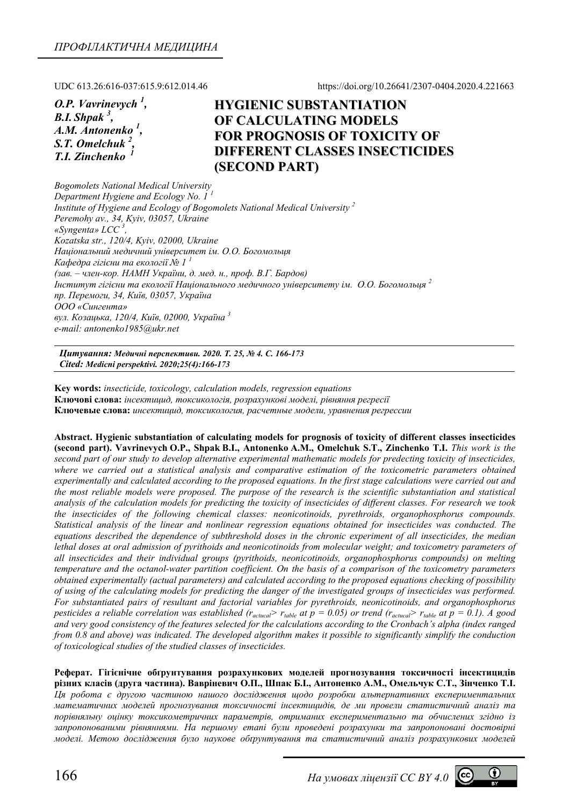UDC 613.26:616-037:615.9:612.014.46 https://doi.org/10.26641/2307-0404.2020.4.221663

*O.P. Vavrinevych 1 , B.I. Shpak 3 , A.M. Antonenko <sup>1</sup> , S.T. Omelchuk 2 , T.I. Zinchenko <sup>1</sup>*

# **HYGIENIC SUBSTANTIATION OF CALCULATING MODELS FOR PROGNOSIS OF TOXICITY OF DIFFERENT CLASSES INSECTICIDES (SECOND PART)**

*Bogomolets National Medical University Department Hygiene and Ecology No. 1 <sup>1</sup> Institute of Hygiene and Ecology of Bogomolets National Medical University 2 Peremohy av., 34, Kyiv, 03057, Ukraine «Syngenta» LCC <sup>3</sup> , Kozatska str., 120/4, Kyiv, 02000, Ukraine Національний медичний університет ім. О.О. Богомольця Кафедра гігієни та екології № 1 1* (зав. - член-кор. НАМН України, д. мед. н., проф. В.Г. Бардов) *Інститут гігієни та екології Національного медичного університету ім. О.О. Богомольця <sup>2</sup> пр. Перемоги, 34, Київ, 03057, Україна ООО «Сингента» вул. Козацька, 120/4, Київ, 02000, Україна <sup>3</sup> e-mail: antonenko1985@ukr.net* 

*Цитування: Медичні перспективи. 2020. Т. 25, № 4. С. 166-173 Cited: Medicni perspektivi. 2020;25(4):166-173*

**Key words:** *insecticide, toxicology, calculation models, regression equations*  **Ключові слова:** *інсектицид, токсикологія, розрахункові моделі, рівняння регресії* **Ключевые слова:** *инсектицид, токсикология, расчетные модели, уравнения регрессии*

**Abstract. Hygienic substantiation of calculating models for prognosis of toxicity of different classes insecticides (second part). Vavrinevych O.P., Shpak B.I., Antonenko A.M., Omelchuk S.T., Zinchenko T.I.** *This work is the second part of our study to develop alternative experimental mathematic models for predecting toxicity of insecticides,*  where we carried out a statistical analysis and comparative estimation of the toxicometric parameters obtained *experimentally and calculated according to the proposed equations. In the first stage calculations were carried out and the most reliable models were proposed. The purpose of the research is the scientific substantiation and statistical analysis of the calculation models for predicting the toxicity of insecticides of different classes. For research we took the insecticides of the following chemical classes: neonicotinoids, pyrethroids, organophosphorus compounds. Statistical analysis of the linear and nonlinear regression equations obtained for insecticides was conducted. The equations described the dependence of subthreshold doses in the chronic experiment of all insecticides, the median lethal doses at oral admission of pyrithoids and neonicotinoids from molecular weight; and toxicometry parameters of all insecticides and their individual groups (pyrithoids, neonicotinoids, organophosphorus compounds) on melting temperature and the octanol-water partition coefficient. On the basis of a comparison of the toxicometry parameters obtained experimentally (actual parameters) and calculated according to the proposed equations checking of possibility of using of the calculating models for predicting the danger of the investigated groups of insecticides was performed. For substantiated pairs of resultant and factorial variables for pyrethroids, neonicotinoids, and organophosphorus pesticides a reliable correlation was established (r<sub>actucal</sub>> r<sub>table</sub> at*  $p = 0.05$ *) or trend (r<sub>actucal</sub>> r<sub>table</sub> at*  $p = 0.1$ *). A good and very good consistency of the features selected for the calculations according to the Cronbach's alpha (index ranged from 0.8 and above) was indicated. The developed algorithm makes it possible to significantly simplify the conduction of toxicological studies of the studied classes of insecticides.* 

**Реферат. Гігієнічне обґрунтування розрахункових моделей прогнозування токсичності інсектицидів різних класів (друга частина). Вавріневич О.П., Шпак Б.І., Антоненко А.М., Омельчук С.Т., Зінченко Т.І.**  *Ця робота є другою частиною нашого дослідження щодо розробки альтернативних експериментальних математичних моделей прогнозування токсичності інсектицидів, де ми провели статистичний аналіз та порівняльну оцінку токсикометричних параметрів, отриманих експериментально та обчислених згідно із запропонованими рівняннями. На першому етапі були проведені розрахунки та запропоновані достовірні моделі. Метою дослідження було наукове обґрунтування та статистичний аналіз розрахункових моделей*

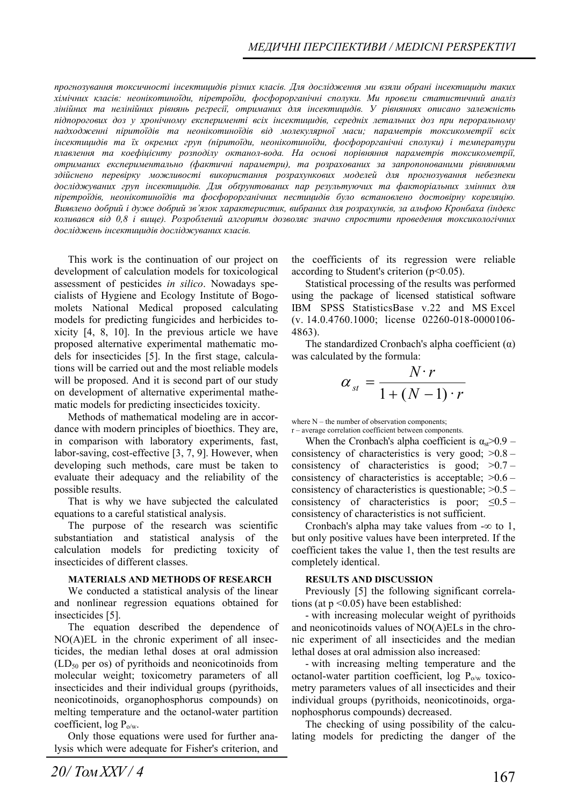*прогнозування токсичності інсектицидів різних класів. Для дослідження ми взяли обрані інсектициди таких хімічних класів: неонікотиноїди, піретроїди, фосфорорганічні сполуки. Ми провели статистичний аналіз лінійних та нелінійних рівнянь регресії, отриманих для інсектицидів. У рівняннях описано залежність підпорогових доз у хронічному експерименті всіх інсектицидів, середніх летальних доз при пероральному надходженні піритоїдів та неонікотиноїдів від молекулярної маси; параметрів токсикометрії всіх інсектицидів та їх окремих груп (піритоїди, неонікотиноїди, фосфорорганічні сполуки) і температури плавлення та коефіцієнту розподілу октанол-вода. На основі порівняння параметрів токсикометрії, отриманих експериментально (фактичні параметри), та розрахованих за запропонованими рівняннями здійснено перевірку можливості використання розрахункових моделей для прогнозування небезпеки досліджуваних груп інсектицидів. Для обґрунтованих пар результуючих та факторіальних змінних для піретроїдів, неонікотиноїдів та фосфорорганічних пестицидів було встановлено достовірну кореляцію.*  Виявлено добрий і дуже добрий зв'язок характеристик, вибраних для розрахунків, за альфою Кронбаха (індекс *коливався від 0,8 і вище). Розроблений алгоритм дозволяє значно спростити проведення токсикологічних досліджень інсектицидів досліджуваних класів.* 

This work is the continuation of our project on development of calculation models for toxicological assessment of pesticides *in silico*. Nowadays specialists of Hygiene and Ecology Institute of Bogomolets National Medical proposed calculating models for predicting fungicides and herbicides toxicity [4, 8, 10]. In the previous article we have proposed alternative experimental mathematic models for insecticides [5]. In the first stage, calculations will be carried out and the most reliable models will be proposed. And it is second part of our study on development of alternative experimental mathematic models for predicting insecticides toxicity.

Methods of mathematical modeling are in accordance with modern principles of bioethics. They are, in comparison with laboratory experiments, fast, labor-saving, cost-effective [3, 7, 9]. However, when developing such methods, care must be taken to evaluate their adequacy and the reliability of the possible results.

That is why we have subjected the calculated equations to a careful statistical analysis.

The purpose of the research was scientific substantiation and statistical analysis of the calculation models for predicting toxicity of insecticides of different classes.

#### **MATERIALS AND METHODS OF RESEARCH**

We conducted a statistical analysis of the linear and nonlinear regression equations obtained for insecticides [5].

The equation described the dependence of NO(A)EL in the chronic experiment of all insecticides, the median lethal doses at oral admission  $(LD<sub>50</sub>$  per os) of pyrithoids and neonicotinoids from molecular weight; toxicometry parameters of all insecticides and their individual groups (pyrithoids, neonicotinoids, organophosphorus compounds) on melting temperature and the octanol-water partition coefficient,  $log P_{o/w}$ .

Only those equations were used for further analysis which were adequate for Fisher's criterion, and the coefficients of its regression were reliable according to Student's criterion  $(p<0.05)$ .

Statistical processing of the results was performed using the package of licensed statistical software IBM SPSS StatisticsBase v.22 and MS Exсel (v. 14.0.4760.1000; license 02260-018-0000106- 4863).

The standardized Cronbach's alpha coefficient  $(\alpha)$ was calculated by the formula:

$$
\alpha_{st} = \frac{N \cdot r}{1 + (N - 1) \cdot r}
$$

where N – the number of observation components; r – average correlation coefficient between components.

When the Cronbach's alpha coefficient is  $\alpha_{st} > 0.9$  – consistency of characteristics is very good;  $>0.8$  – consistency of characteristics is good;  $>0.7$  – consistency of characteristics is acceptable;  $>0.6$  – consistency of characteristics is questionable;  $>0.5$  – consistency of characteristics is poor;  $\leq 0.5$  – consistency of characteristics is not sufficient.

Cronbach's alpha may take values from  $-\infty$  to 1, but only positive values have been interpreted. If the coefficient takes the value 1, then the test results are completely identical.

#### **RESULTS AND DISCUSSION**

Previously [5] the following significant correlations (at  $p \leq 0.05$ ) have been established:

- with increasing molecular weight of pyrithoids and neonicotinoids values of NO(A)ELs in the chronic experiment of all insecticides and the median lethal doses at oral admission also increased:

- with increasing melting temperature and the octanol-water partition coefficient,  $\log P_{\text{o/w}}$  toxicometry parameters values of all insecticides and their individual groups (pyrithoids, neonicotinoids, organophosphorus compounds) decreased.

The checking of using possibility of the calculating models for predicting the danger of the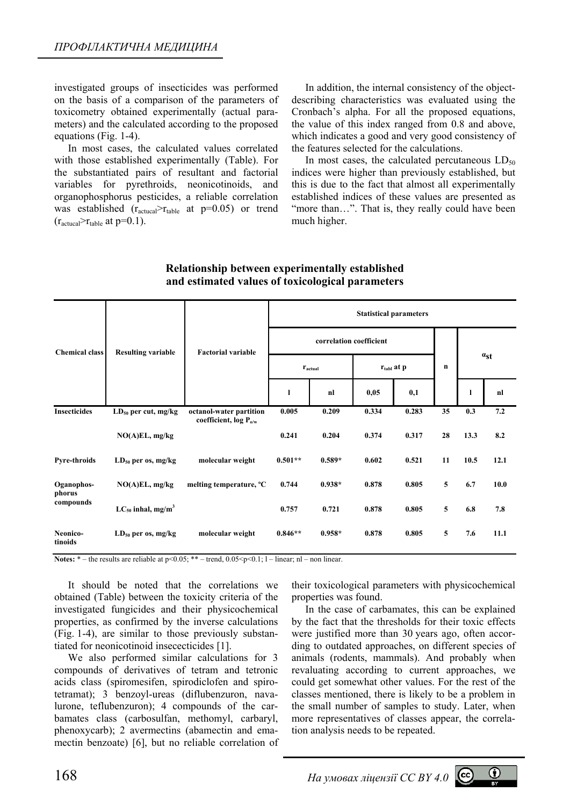investigated groups of insecticides was performed on the basis of a comparison of the parameters of toxicometry obtained experimentally (actual parameters) and the calculated according to the proposed equations (Fig. 1-4).

In most cases, the calculated values correlated with those established experimentally (Table). For the substantiated pairs of resultant and factorial variables for pyrethroids, neonicotinoids, and organophosphorus pesticides, a reliable correlation was established  $(r_{\text{actual}} > r_{\text{table}})$  at  $p=0.05$  or trend  $(r_{\text{actual}} > r_{\text{table}} \text{ at } p=0.1).$ 

In addition, the internal consistency of the objectdescribing characteristics was evaluated using the Cronbach's alpha. For all the proposed equations, the value of this index ranged from 0.8 and above, which indicates a good and very good consistency of the features selected for the calculations.

In most cases, the calculated percutaneous  $LD_{50}$ indices were higher than previously established, but this is due to the fact that almost all experimentally established indices of these values are presented as "more than...". That is, they really could have been much higher.

| <b>Chemical class</b>             | <b>Resulting variable</b>          | <b>Factorial variable</b>                                    | <b>Statistical parameters</b> |          |                        |       |    |          |      |
|-----------------------------------|------------------------------------|--------------------------------------------------------------|-------------------------------|----------|------------------------|-------|----|----------|------|
|                                   |                                    |                                                              | correlation coefficient       |          |                        |       |    |          |      |
|                                   |                                    |                                                              | $r_{actual}$                  |          | $r_{\text{tabl}}$ at p |       | n  | $a_{st}$ |      |
|                                   |                                    |                                                              | 1                             | nl       | 0,05                   | 0,1   |    | ı        | nl   |
| <b>Insecticides</b>               | $LD_{50}$ per cut, mg/kg           | octanol-water partition<br>coefficient, log P <sub>o/w</sub> | 0.005                         | 0.209    | 0.334                  | 0.283 | 35 | 0.3      | 7.2  |
|                                   | $NO(A)EL$ , mg/kg                  |                                                              | 0.241                         | 0.204    | 0.374                  | 0.317 | 28 | 13.3     | 8.2  |
| <b>Pyre-throids</b>               | $LD_{50}$ per os, mg/kg            | molecular weight                                             | $0.501**$                     | $0.589*$ | 0.602                  | 0.521 | 11 | 10.5     | 12.1 |
| Oganophos-<br>phorus<br>compounds | $NO(A)EL$ , mg/kg                  | melting temperature, °C                                      | 0.744                         | $0.938*$ | 0.878                  | 0.805 | 5  | 6.7      | 10.0 |
|                                   | $LC_{50}$ inhal, mg/m <sup>3</sup> |                                                              | 0.757                         | 0.721    | 0.878                  | 0.805 | 5  | 6.8      | 7.8  |
| Neonico-<br>tinoids               | $LD_{50}$ per os, mg/kg            | molecular weight                                             | $0.846**$                     | $0.958*$ | 0.878                  | 0.805 | 5  | 7.6      | 11.1 |

### **Relationship between experimentally established and estimated values of toxicological parameters**

**Notes:** \* – the results are reliable at  $p<0.05$ ; \*\* – trend, 0.05 < p < 0.1; 1 – linear; nl – non linear.

It should be noted that the correlations we obtained (Table) between the toxicity criteria of the investigated fungicides and their physicochemical properties, as confirmed by the inverse calculations (Fig. 1-4), are similar to those previously substantiated for neonicotinoid insececticides [1].

We also performed similar calculations for 3 compounds of derivatives of tetram and tetronic acids class (spiromesifen, spirodiclofen and spirotetramat); 3 benzoyl-ureas (diflubenzuron, navalurone, teflubenzuron); 4 compounds of the carbamates class (carbosulfan, methomyl, carbaryl, phenoxycarb); 2 avermectins (abamectin and emamectin benzoate) [6], but no reliable correlation of

their toxicological parameters with physicochemical properties was found.

In the case of carbamates, this can be explained by the fact that the thresholds for their toxic effects were justified more than 30 years ago, often according to outdated approaches, on different species of animals (rodents, mammals). And probably when revaluating according to current approaches, we could get somewhat other values. For the rest of the classes mentioned, there is likely to be a problem in the small number of samples to study. Later, when more representatives of classes appear, the correlation analysis needs to be repeated.

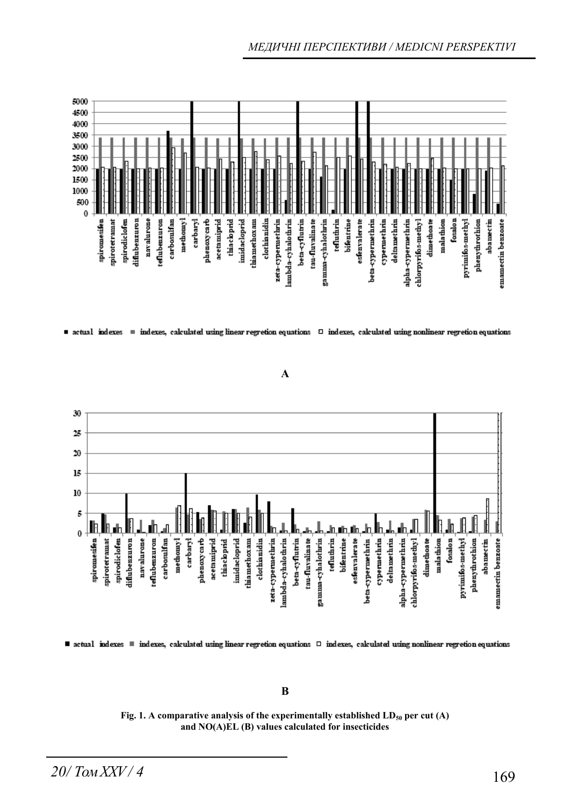

 $\blacksquare$  actual indexes  $\blacksquare$  indexes, calculated using linear regretion equations  $\blacksquare$  indexes, calculated using nonlinear regretion equations





■ actual indexes ■ indexes, calculated using linear regretion equations □ indexes, calculated using nonlinear regretion equations

### **B**

Fig. 1. A comparative analysis of the experimentally established LD<sub>50</sub> per cut (A) **and NO(A)EL (B) values calculated for insecticides**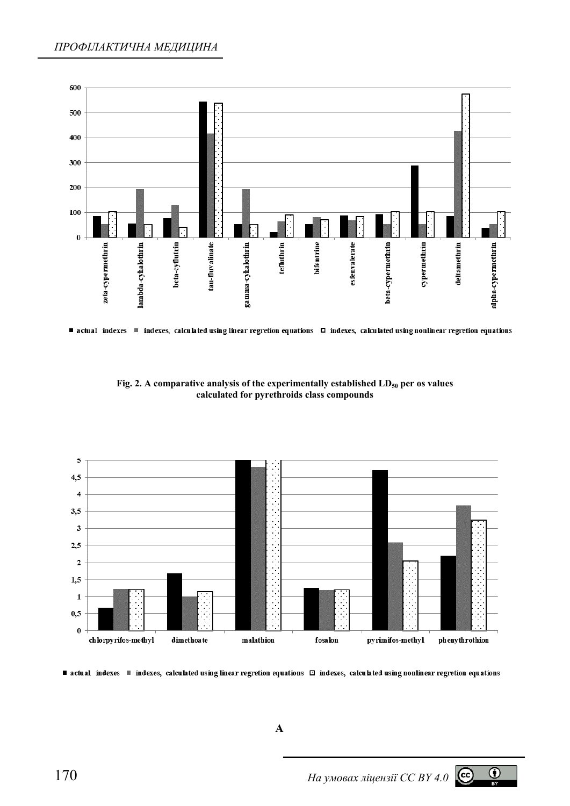

■ actual indexes ■ indexes, calculated using linear regretion equations □ indexes, calculated using nonlinear regretion equations

Fig. 2. A comparative analysis of the experimentally established LD<sub>50</sub> per os values **calculated for pyrethroids class compounds** 



■ actual indexes ■ indexes, calculated using linear regretion equations □ indexes, calculated using nonlinear regretion equations

**A** 



 $\odot$  $BY$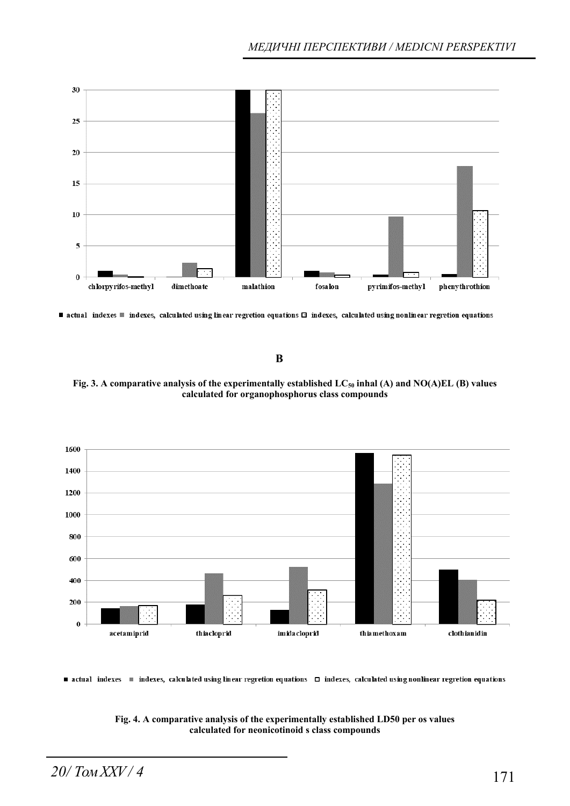

■ actual indexes ■ indexes, calculated using linear regretion equations □ indexes, calculated using nonlinear regretion equations

**B** 

Fig. 3. A comparative analysis of the experimentally established LC<sub>50</sub> inhal (A) and NO(A)EL (B) values **calculated for organophosphorus class compounds** 



■ actual indexes ■ indexes, calculated using linear regretion equations □ indexes, calculated using nonlinear regretion equations

**Fig. 4. A comparative analysis of the experimentally established LD50 per os values calculated for neonicotinoid s class compounds**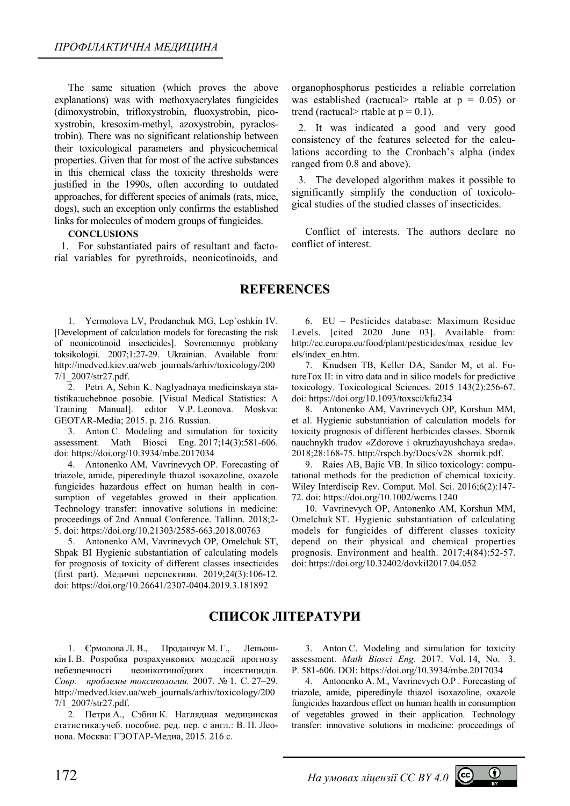The same situation (which proves the above explanations) was with methoxyacrylates fungicides (dimoxystrobin, trifloxystrobin, fluoxystrobin, picoxystrobin, kresoxim-methyl, azoxystrobin, pyraclostrobin). There was no significant relationship between their toxicological parameters and physicochemical properties. Given that for most of the active substances in this chemical class the toxicity thresholds were justified in the 1990s, often according to outdated approaches, for different species of animals (rats, mice, dogs), such an exception only confirms the established links for molecules of modern groups of fungicides.

#### **CONCLUSIONS**

1. For substantiated pairs of resultant and factorial variables for pyrethroids, neonicotinoids, and

organophosphorus pesticides a reliable correlation was established (ractucal> rtable at  $p = 0.05$ ) or trend (ractucal> rtable at  $p = 0.1$ ).

2. It was indicated a good and very good consistency of the features selected for the calculations according to the Cronbach's alpha (index ranged from 0.8 and above).

3. The developed algorithm makes it possible to significantly simplify the conduction of toxicological studies of the studied classes of insecticides.

Conflict of interests. The authors declare no conflict of interest.

### **REFERENCES**

1. Yermolova LV, Prodanchuk MG, Lep`oshkin IV. [Development of calculation models for forecasting the risk of neonicotinoid insecticides]. Sovremennye problemy toksikologii. 2007;1:27-29. Ukrainian. Available from: http://medved.kiev.ua/web\_journals/arhiv/toxicology/200 7/1\_2007/str27.pdf.

2. Petri A, Sebin K. Naglyadnaya medicinskaya statistika:uchebnoe posobie. [Visual Medical Statistics: A Training Manual]. editor V.P. Leonova. Moskva: GEOTAR-Media; 2015. p. 216. Russian.

3. Anton C. Modeling and simulation for toxicity assessment. Math Biosci Eng. 2017;14(3):581-606. doi: https://doi.org/10.3934/mbe.2017034

4. Antonenko АМ, Vavrinevych OP. Forecasting of triazole, amide, piperedinyle thiazol isoxazoline, oxazole fungicides hazardous effect on human health in consumption of vegetables growed in their application. Technology transfer: innovative solutions in medicine: proceedings of 2nd Annual Conference. Tallinn. 2018;2- 5. doi: https://doi.org/10.21303/2585-663.2018.00763

5. Antonenko AM, Vavrinevych OP, Omelchuk ST, Shpak BI Hygienic substantiation of calculating models for prognosis of toxicity of different classes insecticides (first part). Медичні перспективи. 2019;24(3):106-12. doi: https://doi.org/10.26641/2307-0404.2019.3.181892

6. EU – Pesticides database: Maximum Residue Levels. [cited 2020 June 03]. Available from: http://ec.europa.eu/food/plant/pesticides/max\_residue\_lev els/index\_en.htm.

7. Knudsen TB, Keller DA, Sander M, et al. FutureTox II: in vitro data and in silico models for predictive toxicology. Toxicological Sciences. 2015 143(2):256-67. doi: https://doi.org/10.1093/toxsci/kfu234

8. Antonenko AM, Vavrinevych OP, Korshun MM, et al. Hygienic substantiation of calculation models for toxicity prognosis of different herbicides classes. Sbornik nauchnykh trudov «Zdorove i okruzhayushchaya sreda». 2018;28:168-75. http://rspch.by/Docs/v28\_sbornik.pdf.

9. Raies AB, Bajic VB. In silico toxicology: computational methods for the prediction of chemical toxicity. Wiley Interdiscip Rev. Comput. Mol. Sci. 2016;6(2):147- 72. doi: https://doi.org/10.1002/wcms.1240

10. Vavrinevych OP, Antonenko AM, Korshun MM, Omelchuk ST. Hygienic substantiation of calculating models for fungicides of different classes toxicity depend on their physical and chemical properties prognosis. Environment and health. 2017;4(84):52-57. doi: https://doi.org/10.32402/dovkil2017.04.052

## **СПИСОК ЛІТЕРАТУРИ**

1. Єрмолова Л. В., Проданчук М. Г., Лепьошкін І. В. Розробка розрахункових моделей прогнозу небезпечності неонікотиноїдних інсектицидів. *Совр. проблемы токсикологии.* 2007. № 1. С. 27–29. http://medved.kiev.ua/web\_journals/arhiv/toxicology/200 7/1\_2007/str27.pdf.

2. Петри А., Сэбин К. Наглядная медицинская статистика:учеб. пособие. ред. пер. с англ.: В. П. Леонова. Москва: ГЭОТАР-Медиа, 2015. 216 с.

3. Anton C. Modeling and simulation for toxicity assessment. *Math Biosci Eng.* 2017. Vol. 14, No. 3. Р. 581-606. DOI: https://doi.org/10.3934/mbe.2017034

4. Antonenko А. М., Vavrinevych O.P . Forecasting of triazole, amide, piperedinyle thiazol isoxazoline, oxazole fungicides hazardous effect on human health in consumption of vegetables growed in their application. Technology transfer: innovative solutions in medicine: proceedings of